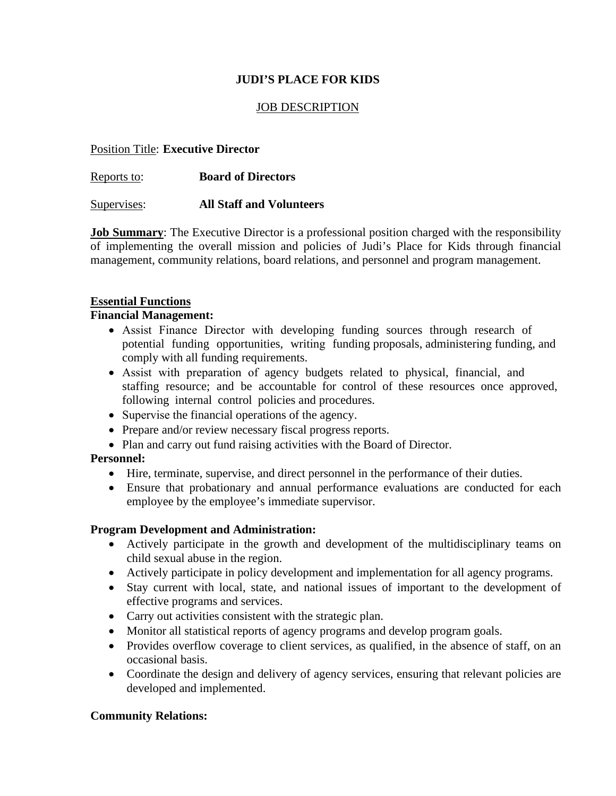# **JUDI'S PLACE FOR KIDS**

### JOB DESCRIPTION

### Position Title: **Executive Director**

Reports to: **Board of Directors**

Supervises: **All Staff and Volunteers**

**Job Summary:** The Executive Director is a professional position charged with the responsibility of implementing the overall mission and policies of Judi's Place for Kids through financial management, community relations, board relations, and personnel and program management.

### **Essential Functions**

#### **Financial Management:**

- Assist Finance Director with developing funding sources through research of potential funding opportunities, writing funding proposals, administering funding, and comply with all funding requirements.
- Assist with preparation of agency budgets related to physical, financial, and staffing resource; and be accountable for control of these resources once approved, following internal control policies and procedures.
- Supervise the financial operations of the agency.
- Prepare and/or review necessary fiscal progress reports.
- Plan and carry out fund raising activities with the Board of Director.

## **Personnel:**

- Hire, terminate, supervise, and direct personnel in the performance of their duties.
- Ensure that probationary and annual performance evaluations are conducted for each employee by the employee's immediate supervisor.

#### **Program Development and Administration:**

- Actively participate in the growth and development of the multidisciplinary teams on child sexual abuse in the region.
- Actively participate in policy development and implementation for all agency programs.
- Stay current with local, state, and national issues of important to the development of effective programs and services.
- Carry out activities consistent with the strategic plan.
- Monitor all statistical reports of agency programs and develop program goals.
- Provides overflow coverage to client services, as qualified, in the absence of staff, on an occasional basis.
- Coordinate the design and delivery of agency services, ensuring that relevant policies are developed and implemented.

## **Community Relations:**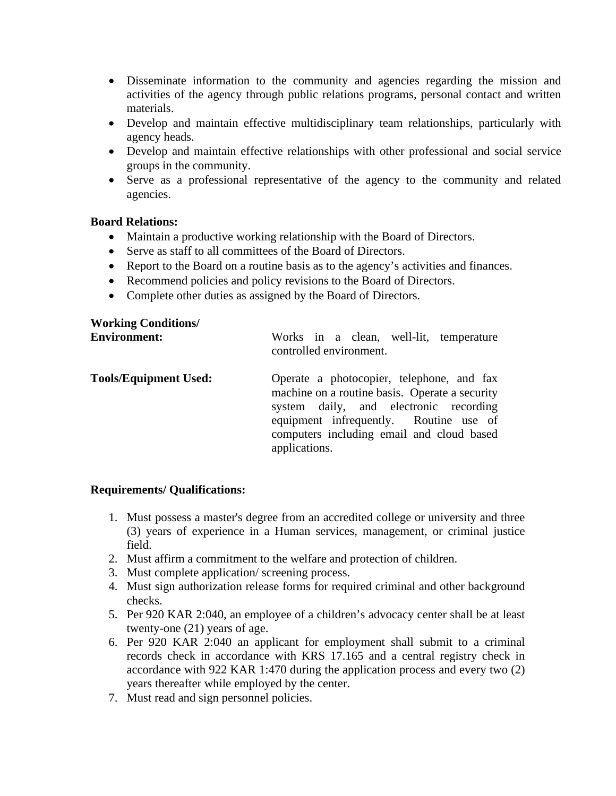- Disseminate information to the community and agencies regarding the mission and activities of the agency through public relations programs, personal contact and written materials.
- Develop and maintain effective multidisciplinary team relationships, particularly with agency heads.
- Develop and maintain effective relationships with other professional and social service groups in the community.
- Serve as a professional representative of the agency to the community and related agencies.

### **Board Relations:**

- Maintain a productive working relationship with the Board of Directors.
- Serve as staff to all committees of the Board of Directors.
- Report to the Board on a routine basis as to the agency's activities and finances.
- Recommend policies and policy revisions to the Board of Directors.
- Complete other duties as assigned by the Board of Directors.

## **Working Conditions/**

| <b>Environment:</b>          | Works in a clean, well-lit, temperature<br>controlled environment.                                                                                                                                                                            |
|------------------------------|-----------------------------------------------------------------------------------------------------------------------------------------------------------------------------------------------------------------------------------------------|
| <b>Tools/Equipment Used:</b> | Operate a photocopier, telephone, and fax<br>machine on a routine basis. Operate a security<br>system daily, and electronic recording<br>equipment infrequently. Routine use of<br>computers including email and cloud based<br>applications. |

## **Requirements/ Qualifications:**

- 1. Must possess a master's degree from an accredited college or university and three (3) years of experience in a Human services, management, or criminal justice field.
- 2. Must affirm a commitment to the welfare and protection of children.
- 3. Must complete application/ screening process.
- 4. Must sign authorization release forms for required criminal and other background checks.
- 5. Per 920 KAR 2:040, an employee of a children's advocacy center shall be at least twenty-one (21) years of age.
- 6. Per 920 KAR 2:040 an applicant for employment shall submit to a criminal records check in accordance with KRS 17.165 and a central registry check in accordance with 922 KAR 1:470 during the application process and every two (2) years thereafter while employed by the center.
- 7. Must read and sign personnel policies.